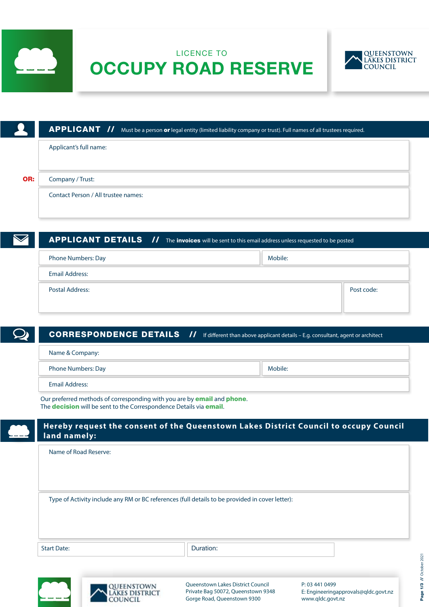

# LICENCE TO OCCUPY ROAD RESERVE



|     | <b>APPLICANT</b> // Must be a person or legal entity (limited liability company or trust). Full names of all trustees required. |
|-----|---------------------------------------------------------------------------------------------------------------------------------|
|     | Applicant's full name:                                                                                                          |
| OR: | Company / Trust:                                                                                                                |
|     | Contact Person / All trustee names:                                                                                             |
|     |                                                                                                                                 |

| <b>APPLICANT DETAILS</b> // The invoices will be sent to this email address unless requested to be posted |         |            |
|-----------------------------------------------------------------------------------------------------------|---------|------------|
| <b>Phone Numbers: Day</b>                                                                                 | Mobile: |            |
| <b>Email Address:</b>                                                                                     |         |            |
| <b>Postal Address:</b>                                                                                    |         | Post code: |
|                                                                                                           |         |            |

| <b>CORRESPONDENCE DETAILS //</b>                                                                                                                                            | If different than above applicant details $-$ E.g. consultant, agent or architect |
|-----------------------------------------------------------------------------------------------------------------------------------------------------------------------------|-----------------------------------------------------------------------------------|
| Name & Company:                                                                                                                                                             |                                                                                   |
| <b>Phone Numbers: Day</b>                                                                                                                                                   | Mobile:                                                                           |
| Email Address:                                                                                                                                                              |                                                                                   |
| Our preferred methods of corresponding with you are by <b>email</b> and <b>phone</b> .<br>The <b>decision</b> will be sent to the Correspondence Details via <b>email</b> . |                                                                                   |

| Name of Road Reserve: |                                                                                                 |  |
|-----------------------|-------------------------------------------------------------------------------------------------|--|
|                       |                                                                                                 |  |
|                       |                                                                                                 |  |
|                       | Type of Activity include any RM or BC references (full details to be provided in cover letter): |  |
|                       |                                                                                                 |  |
|                       |                                                                                                 |  |
| <b>Start Date:</b>    | Duration:                                                                                       |  |

Queenstown Lakes District Council Private Bag 50072, Queenstown 9348 Gorge Road, Queenstown 9300

AND PUT COUNCIL

P: 03 441 0499

www.qldc.govt.nz

E: Engineeringapprovals@qldc.govt.nz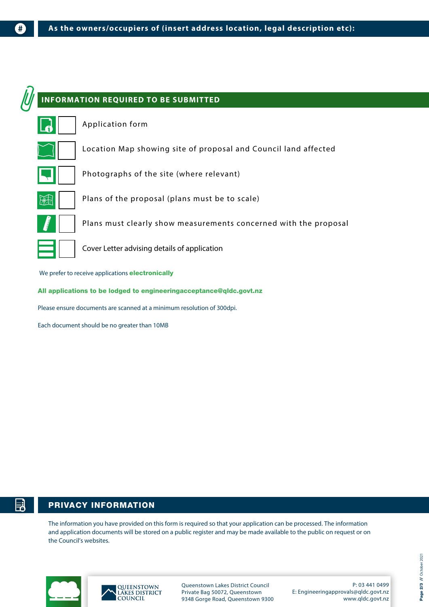

Please ensure documents are scanned at a minimum resolution of 300dpi.

Each document should be no greater than 10MB

 $#$ 

# PRIVACY INFORMATION

The information you have provided on this form is required so that your application can be processed. The information and application documents will be stored on a public register and may be made available to the public on request or on the Council's websites.



ᇘ



Queenstown Lakes District Council Private Bag 50072, Queenstown 9348 Gorge Road, Queenstown 9300

P: 03 441 0499 E: Engineeringapprovals@qldc.govt.nz www.qldc.govt.nz